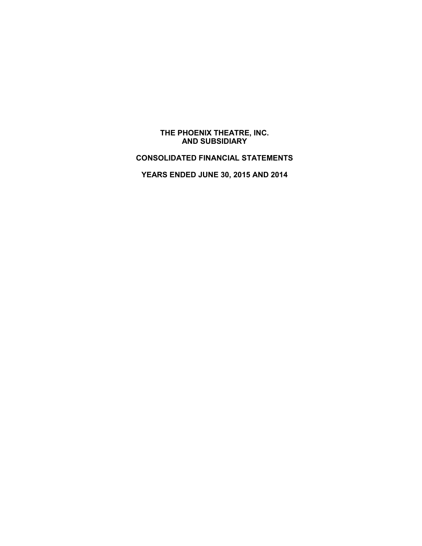#### **THE PHOENIX THEATRE, INC. AND SUBSIDIARY**

# **CONSOLIDATED FINANCIAL STATEMENTS**

**YEARS ENDED JUNE 30, 2015 AND 2014**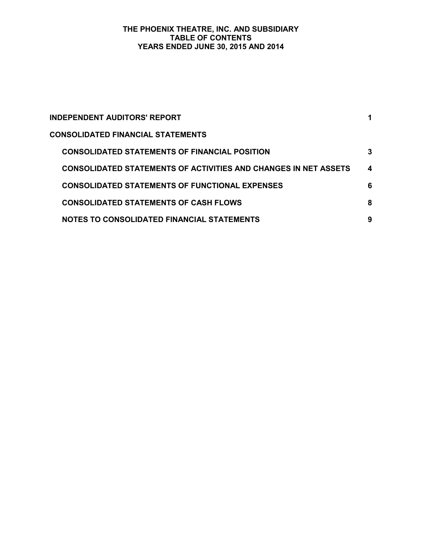#### **THE PHOENIX THEATRE, INC. AND SUBSIDIARY TABLE OF CONTENTS YEARS ENDED JUNE 30, 2015 AND 2014**

| INDEPENDENT AUDITORS' REPORT                                    | 1 |
|-----------------------------------------------------------------|---|
| <b>CONSOLIDATED FINANCIAL STATEMENTS</b>                        |   |
| <b>CONSOLIDATED STATEMENTS OF FINANCIAL POSITION</b>            | 3 |
| CONSOLIDATED STATEMENTS OF ACTIVITIES AND CHANGES IN NET ASSETS | 4 |
| <b>CONSOLIDATED STATEMENTS OF FUNCTIONAL EXPENSES</b>           | 6 |
| <b>CONSOLIDATED STATEMENTS OF CASH FLOWS</b>                    | 8 |
| NOTES TO CONSOLIDATED FINANCIAL STATEMENTS                      | 9 |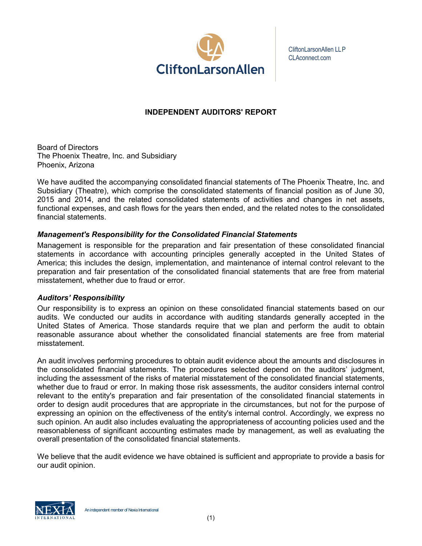

CliftonLarsonAllen LLP CLAconnect.com

# **INDEPENDENT AUDITORS' REPORT**

Board of Directors The Phoenix Theatre, Inc. and Subsidiary Phoenix, Arizona

We have audited the accompanying consolidated financial statements of The Phoenix Theatre, Inc. and Subsidiary (Theatre), which comprise the consolidated statements of financial position as of June 30, 2015 and 2014, and the related consolidated statements of activities and changes in net assets, functional expenses, and cash flows for the years then ended, and the related notes to the consolidated financial statements.

## *Management's Responsibility for the Consolidated Financial Statements*

Management is responsible for the preparation and fair presentation of these consolidated financial statements in accordance with accounting principles generally accepted in the United States of America; this includes the design, implementation, and maintenance of internal control relevant to the preparation and fair presentation of the consolidated financial statements that are free from material misstatement, whether due to fraud or error.

### *Auditors' Responsibility*

Our responsibility is to express an opinion on these consolidated financial statements based on our audits. We conducted our audits in accordance with auditing standards generally accepted in the United States of America. Those standards require that we plan and perform the audit to obtain reasonable assurance about whether the consolidated financial statements are free from material misstatement.

An audit involves performing procedures to obtain audit evidence about the amounts and disclosures in the consolidated financial statements. The procedures selected depend on the auditors' judgment, including the assessment of the risks of material misstatement of the consolidated financial statements, whether due to fraud or error. In making those risk assessments, the auditor considers internal control relevant to the entity's preparation and fair presentation of the consolidated financial statements in order to design audit procedures that are appropriate in the circumstances, but not for the purpose of expressing an opinion on the effectiveness of the entity's internal control. Accordingly, we express no such opinion. An audit also includes evaluating the appropriateness of accounting policies used and the reasonableness of significant accounting estimates made by management, as well as evaluating the overall presentation of the consolidated financial statements.

We believe that the audit evidence we have obtained is sufficient and appropriate to provide a basis for our audit opinion.

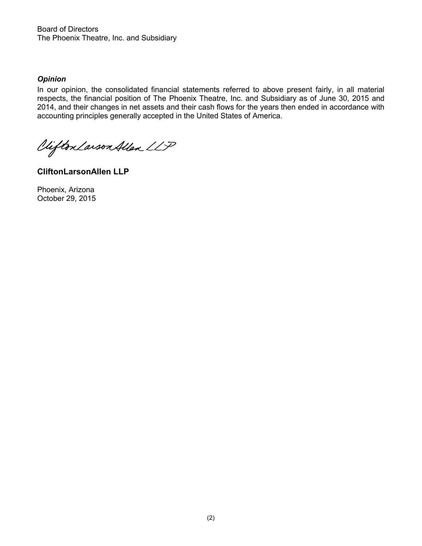Board of Directors The Phoenix Theatre, Inc. and Subsidiary

### *Opinion*

In our opinion, the consolidated financial statements referred to above present fairly, in all material respects, the financial position of The Phoenix Theatre, Inc. and Subsidiary as of June 30, 2015 and 2014, and their changes in net assets and their cash flows for the years then ended in accordance with accounting principles gen erally accepted in the United States of America.

Viifton Larson Allen LLP

**CliftonLarsonAllen LLP**

Phoenix, Arizona October 29, 2015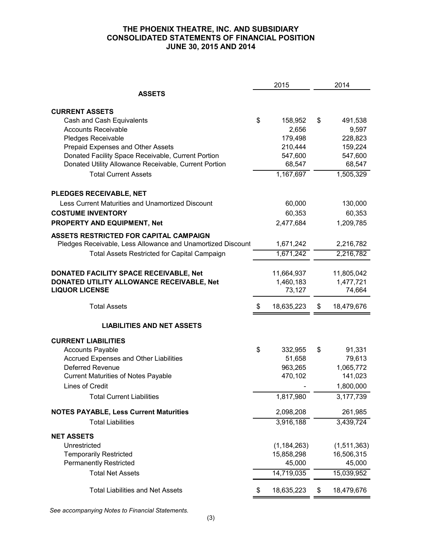### **THE PHOENIX THEATRE, INC. AND SUBSIDIARY CONSOLIDATED STATEMENTS OF FINANCIAL POSITION JUNE 30, 2015 AND 2014**

|                                                             | 2015             | 2014             |
|-------------------------------------------------------------|------------------|------------------|
| <b>ASSETS</b>                                               |                  |                  |
| <b>CURRENT ASSETS</b>                                       |                  |                  |
| Cash and Cash Equivalents                                   | \$<br>158,952    | \$<br>491,538    |
| <b>Accounts Receivable</b>                                  | 2,656            | 9,597            |
| Pledges Receivable                                          | 179,498          | 228,823          |
| Prepaid Expenses and Other Assets                           | 210,444          | 159,224          |
| Donated Facility Space Receivable, Current Portion          | 547,600          | 547,600          |
| Donated Utility Allowance Receivable, Current Portion       | 68,547           | 68,547           |
| <b>Total Current Assets</b>                                 | 1,167,697        | 1,505,329        |
| PLEDGES RECEIVABLE, NET                                     |                  |                  |
| Less Current Maturities and Unamortized Discount            | 60,000           | 130,000          |
| <b>COSTUME INVENTORY</b>                                    | 60,353           | 60,353           |
| PROPERTY AND EQUIPMENT, Net                                 | 2,477,684        | 1,209,785        |
| ASSETS RESTRICTED FOR CAPITAL CAMPAIGN                      |                  |                  |
| Pledges Receivable, Less Allowance and Unamortized Discount | 1,671,242        | 2,216,782        |
| <b>Total Assets Restricted for Capital Campaign</b>         | 1,671,242        | 2,216,782        |
| DONATED FACILITY SPACE RECEIVABLE, Net                      | 11,664,937       | 11,805,042       |
| DONATED UTILITY ALLOWANCE RECEIVABLE, Net                   | 1,460,183        | 1,477,721        |
| <b>LIQUOR LICENSE</b>                                       | 73,127           | 74,664           |
| <b>Total Assets</b>                                         | \$<br>18,635,223 | \$<br>18,479,676 |
| <b>LIABILITIES AND NET ASSETS</b>                           |                  |                  |
| <b>CURRENT LIABILITIES</b>                                  |                  |                  |
| <b>Accounts Payable</b>                                     | \$<br>332,955    | \$<br>91,331     |
| Accrued Expenses and Other Liabilities                      | 51,658           | 79,613           |
| <b>Deferred Revenue</b>                                     | 963,265          | 1,065,772        |
| <b>Current Maturities of Notes Payable</b>                  | 470,102          | 141,023          |
| <b>Lines of Credit</b>                                      |                  | 1,800,000        |
| <b>Total Current Liabilities</b>                            | 1,817,980        | 3,177,739        |
| <b>NOTES PAYABLE, Less Current Maturities</b>               | 2,098,208        | 261,985          |
| <b>Total Liabilities</b>                                    | 3,916,188        | 3,439,724        |
| <b>NET ASSETS</b>                                           |                  |                  |
| Unrestricted                                                | (1, 184, 263)    | (1,511,363)      |
| <b>Temporarily Restricted</b>                               | 15,858,298       | 16,506,315       |
| <b>Permanently Restricted</b>                               | 45,000           | 45,000           |
| <b>Total Net Assets</b>                                     | 14,719,035       | 15,039,952       |
| <b>Total Liabilities and Net Assets</b>                     | \$<br>18,635,223 | \$<br>18,479,676 |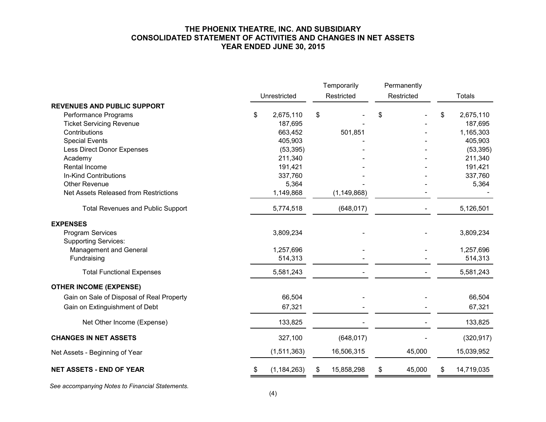#### **THE PHOENIX THEATRE, INC. AND SUBSIDIARY CONSOLIDATED STATEMENT OF ACTIVITIES AND CHANGES IN NET ASSETS YEAR ENDED JUNE 30, 2015**

|                                                        |    | Temporarily   |    | Permanently   |    |        |    |            |  |  |               |  |
|--------------------------------------------------------|----|---------------|----|---------------|----|--------|----|------------|--|--|---------------|--|
|                                                        |    | Unrestricted  |    | Restricted    |    |        |    | Restricted |  |  | <b>Totals</b> |  |
| <b>REVENUES AND PUBLIC SUPPORT</b>                     |    |               |    |               |    |        |    |            |  |  |               |  |
| Performance Programs                                   | \$ | 2,675,110     | \$ |               | \$ |        | \$ | 2,675,110  |  |  |               |  |
| <b>Ticket Servicing Revenue</b>                        |    | 187,695       |    |               |    |        |    | 187,695    |  |  |               |  |
| Contributions                                          |    | 663,452       |    | 501,851       |    |        |    | 1,165,303  |  |  |               |  |
| <b>Special Events</b>                                  |    | 405,903       |    |               |    |        |    | 405,903    |  |  |               |  |
| Less Direct Donor Expenses                             |    | (53, 395)     |    |               |    |        |    | (53, 395)  |  |  |               |  |
| Academy                                                |    | 211,340       |    |               |    |        |    | 211,340    |  |  |               |  |
| Rental Income                                          |    | 191,421       |    |               |    |        |    | 191,421    |  |  |               |  |
| In-Kind Contributions                                  |    | 337,760       |    |               |    |        |    | 337,760    |  |  |               |  |
| <b>Other Revenue</b>                                   |    | 5,364         |    |               |    |        |    | 5,364      |  |  |               |  |
| Net Assets Released from Restrictions                  |    | 1,149,868     |    | (1, 149, 868) |    |        |    |            |  |  |               |  |
| <b>Total Revenues and Public Support</b>               |    | 5,774,518     |    | (648, 017)    |    |        |    | 5,126,501  |  |  |               |  |
| <b>EXPENSES</b>                                        |    |               |    |               |    |        |    |            |  |  |               |  |
| <b>Program Services</b><br><b>Supporting Services:</b> |    | 3,809,234     |    |               |    |        |    | 3,809,234  |  |  |               |  |
| Management and General                                 |    | 1,257,696     |    |               |    |        |    | 1,257,696  |  |  |               |  |
| Fundraising                                            |    | 514,313       |    |               |    |        |    | 514,313    |  |  |               |  |
| <b>Total Functional Expenses</b>                       |    | 5,581,243     |    |               |    |        |    | 5,581,243  |  |  |               |  |
| <b>OTHER INCOME (EXPENSE)</b>                          |    |               |    |               |    |        |    |            |  |  |               |  |
| Gain on Sale of Disposal of Real Property              |    | 66,504        |    |               |    |        |    | 66,504     |  |  |               |  |
| Gain on Extinguishment of Debt                         |    | 67,321        |    |               |    |        |    | 67,321     |  |  |               |  |
| Net Other Income (Expense)                             |    | 133,825       |    |               |    |        |    | 133,825    |  |  |               |  |
| <b>CHANGES IN NET ASSETS</b>                           |    | 327,100       |    | (648, 017)    |    |        |    | (320, 917) |  |  |               |  |
| Net Assets - Beginning of Year                         |    | (1,511,363)   |    | 16,506,315    |    | 45,000 |    | 15,039,952 |  |  |               |  |
| <b>NET ASSETS - END OF YEAR</b>                        | S  | (1, 184, 263) | \$ | 15,858,298    | \$ | 45,000 | \$ | 14,719,035 |  |  |               |  |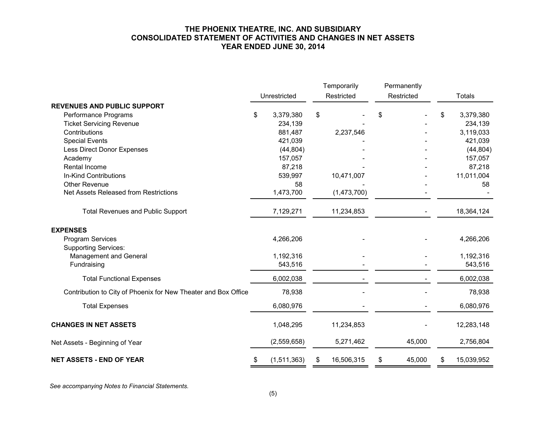#### **THE PHOENIX THEATRE, INC. AND SUBSIDIARY CONSOLIDATED STATEMENT OF ACTIVITIES AND CHANGES IN NET ASSETS YEAR ENDED JUNE 30, 2014**

|                                                                |    |              |            | Temporarily |            | Permanently |                  |
|----------------------------------------------------------------|----|--------------|------------|-------------|------------|-------------|------------------|
|                                                                |    | Unrestricted | Restricted |             | Restricted |             | <b>Totals</b>    |
| <b>REVENUES AND PUBLIC SUPPORT</b>                             |    |              |            |             |            |             |                  |
| Performance Programs                                           | \$ | 3,379,380    | \$         |             | \$         |             | \$<br>3,379,380  |
| <b>Ticket Servicing Revenue</b>                                |    | 234,139      |            |             |            |             | 234,139          |
| Contributions                                                  |    | 881,487      |            | 2,237,546   |            |             | 3,119,033        |
| <b>Special Events</b>                                          |    | 421,039      |            |             |            |             | 421,039          |
| Less Direct Donor Expenses                                     |    | (44, 804)    |            |             |            |             | (44, 804)        |
| Academy                                                        |    | 157,057      |            |             |            |             | 157,057          |
| Rental Income                                                  |    | 87,218       |            |             |            |             | 87,218           |
| In-Kind Contributions                                          |    | 539,997      |            | 10,471,007  |            |             | 11,011,004       |
| <b>Other Revenue</b>                                           |    | 58           |            |             |            |             | 58               |
| Net Assets Released from Restrictions                          |    | 1,473,700    |            | (1,473,700) |            |             |                  |
| <b>Total Revenues and Public Support</b>                       |    | 7,129,271    |            | 11,234,853  |            |             | 18,364,124       |
| <b>EXPENSES</b>                                                |    |              |            |             |            |             |                  |
| Program Services                                               |    | 4,266,206    |            |             |            |             | 4,266,206        |
| <b>Supporting Services:</b>                                    |    |              |            |             |            |             |                  |
| Management and General                                         |    | 1,192,316    |            |             |            |             | 1,192,316        |
| Fundraising                                                    |    | 543,516      |            |             |            |             | 543,516          |
| <b>Total Functional Expenses</b>                               |    | 6,002,038    |            |             |            |             | 6,002,038        |
| Contribution to City of Phoenix for New Theater and Box Office |    | 78,938       |            |             |            |             | 78,938           |
| <b>Total Expenses</b>                                          |    | 6,080,976    |            |             |            |             | 6,080,976        |
| <b>CHANGES IN NET ASSETS</b>                                   |    | 1,048,295    |            | 11,234,853  |            |             | 12,283,148       |
| Net Assets - Beginning of Year                                 |    | (2,559,658)  |            | 5,271,462   |            | 45,000      | 2,756,804        |
| <b>NET ASSETS - END OF YEAR</b>                                | \$ | (1,511,363)  | S          | 16,506,315  | \$         | 45,000      | \$<br>15,039,952 |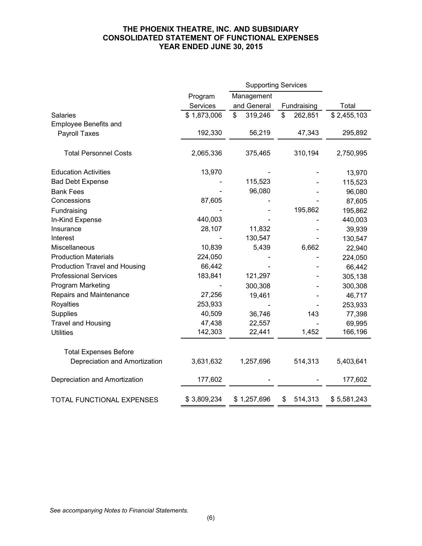### **THE PHOENIX THEATRE, INC. AND SUBSIDIARY CONSOLIDATED STATEMENT OF FUNCTIONAL EXPENSES YEAR ENDED JUNE 30, 2015**

|                               |             | <b>Supporting Services</b> |               |             |
|-------------------------------|-------------|----------------------------|---------------|-------------|
|                               | Program     | Management                 |               |             |
|                               | Services    | and General                | Fundraising   | Total       |
| <b>Salaries</b>               | \$1,873,006 | \$<br>319,246              | \$<br>262,851 | \$2,455,103 |
| Employee Benefits and         |             |                            |               |             |
| <b>Payroll Taxes</b>          | 192,330     | 56,219                     | 47,343        | 295,892     |
| <b>Total Personnel Costs</b>  | 2,065,336   | 375,465                    | 310,194       | 2,750,995   |
| <b>Education Activities</b>   | 13,970      |                            |               | 13,970      |
| <b>Bad Debt Expense</b>       |             | 115,523                    |               | 115,523     |
| <b>Bank Fees</b>              |             | 96,080                     |               | 96,080      |
| Concessions                   | 87,605      |                            |               | 87,605      |
| Fundraising                   |             |                            | 195,862       | 195,862     |
| In-Kind Expense               | 440,003     |                            |               | 440,003     |
| Insurance                     | 28,107      | 11,832                     |               | 39,939      |
| Interest                      |             | 130,547                    |               | 130,547     |
| Miscellaneous                 | 10,839      | 5,439                      | 6,662         | 22,940      |
| <b>Production Materials</b>   | 224,050     |                            |               | 224,050     |
| Production Travel and Housing | 66,442      |                            |               | 66,442      |
| <b>Professional Services</b>  | 183,841     | 121,297                    |               | 305,138     |
| Program Marketing             |             | 300,308                    |               | 300,308     |
| Repairs and Maintenance       | 27,256      | 19,461                     |               | 46,717      |
| Royalties                     | 253,933     |                            |               | 253,933     |
| <b>Supplies</b>               | 40,509      | 36,746                     | 143           | 77,398      |
| <b>Travel and Housing</b>     | 47,438      | 22,557                     |               | 69,995      |
| <b>Utilities</b>              | 142,303     | 22,441                     | 1,452         | 166,196     |
| <b>Total Expenses Before</b>  |             |                            |               |             |
| Depreciation and Amortization | 3,631,632   | 1,257,696                  | 514,313       | 5,403,641   |
| Depreciation and Amortization | 177,602     |                            |               | 177,602     |
| TOTAL FUNCTIONAL EXPENSES     | \$3,809,234 | \$1,257,696                | 514,313<br>\$ | \$5,581,243 |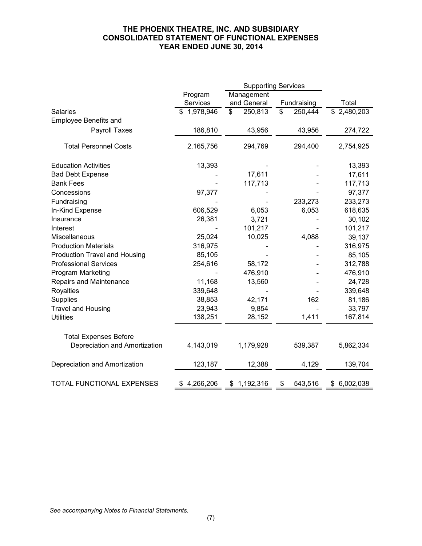### **THE PHOENIX THEATRE, INC. AND SUBSIDIARY CONSOLIDATED STATEMENT OF FUNCTIONAL EXPENSES YEAR ENDED JUNE 30, 2014**

|                               |                 | <b>Supporting Services</b> |               |             |
|-------------------------------|-----------------|----------------------------|---------------|-------------|
|                               | Program         | Management                 |               |             |
|                               | Services        | and General                | Fundraising   | Total       |
| <b>Salaries</b>               | \$1,978,946     | \$<br>250,813              | \$<br>250,444 | \$2,480,203 |
| <b>Employee Benefits and</b>  |                 |                            |               |             |
| Payroll Taxes                 | 186,810         | 43,956                     | 43,956        | 274,722     |
| <b>Total Personnel Costs</b>  | 2,165,756       | 294,769                    | 294,400       | 2,754,925   |
| <b>Education Activities</b>   | 13,393          |                            |               | 13,393      |
| <b>Bad Debt Expense</b>       |                 | 17,611                     |               | 17,611      |
| <b>Bank Fees</b>              |                 | 117,713                    |               | 117,713     |
| Concessions                   | 97,377          |                            |               | 97,377      |
| Fundraising                   |                 |                            | 233,273       | 233,273     |
| In-Kind Expense               | 606,529         | 6,053                      | 6,053         | 618,635     |
| Insurance                     | 26,381          | 3,721                      |               | 30,102      |
| Interest                      |                 | 101,217                    |               | 101,217     |
| Miscellaneous                 | 25,024          | 10,025                     | 4,088         | 39,137      |
| <b>Production Materials</b>   | 316,975         |                            |               | 316,975     |
| Production Travel and Housing | 85,105          |                            |               | 85,105      |
| <b>Professional Services</b>  | 254,616         | 58,172                     |               | 312,788     |
| Program Marketing             |                 | 476,910                    |               | 476,910     |
| Repairs and Maintenance       | 11,168          | 13,560                     |               | 24,728      |
| <b>Royalties</b>              | 339,648         |                            |               | 339,648     |
| Supplies                      | 38,853          | 42,171                     | 162           | 81,186      |
| <b>Travel and Housing</b>     | 23,943          | 9,854                      |               | 33,797      |
| <b>Utilities</b>              | 138,251         | 28,152                     | 1,411         | 167,814     |
| <b>Total Expenses Before</b>  |                 |                            |               |             |
| Depreciation and Amortization | 4,143,019       | 1,179,928                  | 539,387       | 5,862,334   |
| Depreciation and Amortization | 123,187         | 12,388                     | 4,129         | 139,704     |
| TOTAL FUNCTIONAL EXPENSES     | 4,266,206<br>\$ | 1,192,316<br>\$            | 543,516<br>\$ | \$6,002,038 |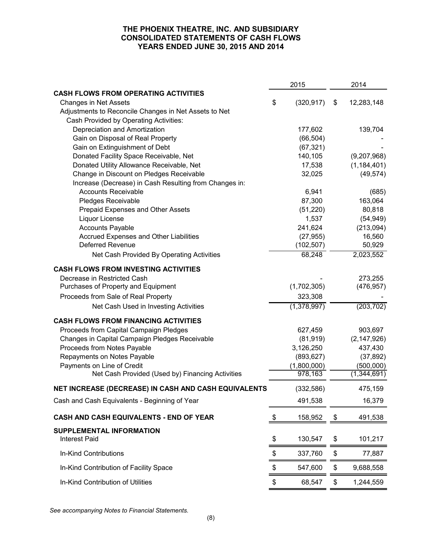### **THE PHOENIX THEATRE, INC. AND SUBSIDIARY CONSOLIDATED STATEMENTS OF CASH FLOWS YEARS ENDED JUNE 30, 2015 AND 2014**

|                                                                   | 2015             | 2014             |
|-------------------------------------------------------------------|------------------|------------------|
| <b>CASH FLOWS FROM OPERATING ACTIVITIES</b>                       |                  |                  |
| <b>Changes in Net Assets</b>                                      | \$<br>(320, 917) | \$<br>12,283,148 |
| Adjustments to Reconcile Changes in Net Assets to Net             |                  |                  |
| Cash Provided by Operating Activities:                            |                  |                  |
| Depreciation and Amortization                                     | 177,602          | 139,704          |
| Gain on Disposal of Real Property                                 | (66, 504)        |                  |
| Gain on Extinguishment of Debt                                    | (67, 321)        |                  |
| Donated Facility Space Receivable, Net                            | 140,105          | (9,207,968)      |
| Donated Utility Allowance Receivable, Net                         | 17,538           | (1, 184, 401)    |
| Change in Discount on Pledges Receivable                          | 32,025           | (49, 574)        |
| Increase (Decrease) in Cash Resulting from Changes in:            |                  |                  |
| <b>Accounts Receivable</b>                                        | 6,941            | (685)            |
| Pledges Receivable                                                | 87,300           | 163,064          |
| Prepaid Expenses and Other Assets                                 | (51, 220)        | 80,818           |
| Liquor License                                                    | 1,537            | (54, 949)        |
| <b>Accounts Payable</b>                                           | 241,624          | (213,094)        |
| Accrued Expenses and Other Liabilities<br><b>Deferred Revenue</b> | (27, 955)        | 16,560           |
|                                                                   | (102, 507)       | 50,929           |
| Net Cash Provided By Operating Activities                         | 68,248           | 2,023,552        |
| <b>CASH FLOWS FROM INVESTING ACTIVITIES</b>                       |                  |                  |
| Decrease in Restricted Cash                                       |                  | 273,255          |
| Purchases of Property and Equipment                               | (1,702,305)      | (476, 957)       |
| Proceeds from Sale of Real Property                               | 323,308          |                  |
| Net Cash Used in Investing Activities                             | (1,378,997)      | (203, 702)       |
| <b>CASH FLOWS FROM FINANCING ACTIVITIES</b>                       |                  |                  |
| Proceeds from Capital Campaign Pledges                            | 627,459          | 903,697          |
| Changes in Capital Campaign Pledges Receivable                    | (81, 919)        | (2, 147, 926)    |
| Proceeds from Notes Payable                                       | 3,126,250        | 437,430          |
| Repayments on Notes Payable                                       | (893, 627)       | (37, 892)        |
| Payments on Line of Credit                                        | (1,800,000)      | (500,000)        |
| Net Cash Provided (Used by) Financing Activities                  | 978,163          | (1,344,691)      |
| NET INCREASE (DECREASE) IN CASH AND CASH EQUIVALENTS              | (332, 586)       | 475,159          |
| Cash and Cash Equivalents - Beginning of Year                     | 491,538          | 16,379           |
| CASH AND CASH EQUIVALENTS - END OF YEAR                           | \$<br>158,952    | \$<br>491,538    |
| SUPPLEMENTAL INFORMATION                                          |                  |                  |
| <b>Interest Paid</b>                                              | \$<br>130,547    | \$<br>101,217    |
| In-Kind Contributions                                             | \$<br>337,760    | \$<br>77,887     |
| In-Kind Contribution of Facility Space                            | \$<br>547,600    | \$<br>9,688,558  |
| In-Kind Contribution of Utilities                                 | \$<br>68,547     | \$<br>1,244,559  |
|                                                                   |                  |                  |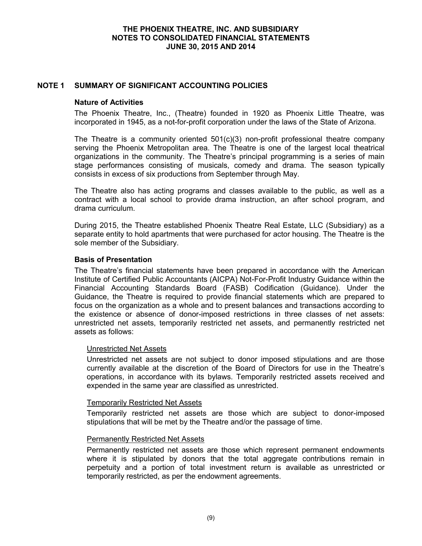### **NOTE 1 SUMMARY OF SIGNIFICANT ACCOUNTING POLICIES**

#### **Nature of Activities**

The Phoenix Theatre, Inc., (Theatre) founded in 1920 as Phoenix Little Theatre, was incorporated in 1945, as a not-for-profit corporation under the laws of the State of Arizona.

The Theatre is a community oriented  $501(c)(3)$  non-profit professional theatre company serving the Phoenix Metropolitan area. The Theatre is one of the largest local theatrical organizations in the community. The Theatre's principal programming is a series of main stage performances consisting of musicals, comedy and drama. The season typically consists in excess of six productions from September through May.

The Theatre also has acting programs and classes available to the public, as well as a contract with a local school to provide drama instruction, an after school program, and drama curriculum.

During 2015, the Theatre established Phoenix Theatre Real Estate, LLC (Subsidiary) as a separate entity to hold apartments that were purchased for actor housing. The Theatre is the sole member of the Subsidiary.

#### **Basis of Presentation**

The Theatre's financial statements have been prepared in accordance with the American Institute of Certified Public Accountants (AICPA) Not-For-Profit Industry Guidance within the Financial Accounting Standards Board (FASB) Codification (Guidance). Under the Guidance, the Theatre is required to provide financial statements which are prepared to focus on the organization as a whole and to present balances and transactions according to the existence or absence of donor-imposed restrictions in three classes of net assets: unrestricted net assets, temporarily restricted net assets, and permanently restricted net assets as follows:

#### Unrestricted Net Assets

Unrestricted net assets are not subject to donor imposed stipulations and are those currently available at the discretion of the Board of Directors for use in the Theatre's operations, in accordance with its bylaws. Temporarily restricted assets received and expended in the same year are classified as unrestricted.

#### Temporarily Restricted Net Assets

Temporarily restricted net assets are those which are subject to donor-imposed stipulations that will be met by the Theatre and/or the passage of time.

#### Permanently Restricted Net Assets

Permanently restricted net assets are those which represent permanent endowments where it is stipulated by donors that the total aggregate contributions remain in perpetuity and a portion of total investment return is available as unrestricted or temporarily restricted, as per the endowment agreements.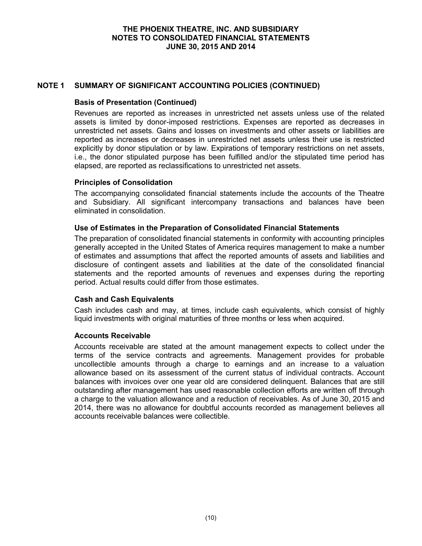### **NOTE 1 SUMMARY OF SIGNIFICANT ACCOUNTING POLICIES (CONTINUED)**

### **Basis of Presentation (Continued)**

Revenues are reported as increases in unrestricted net assets unless use of the related assets is limited by donor-imposed restrictions. Expenses are reported as decreases in unrestricted net assets. Gains and losses on investments and other assets or liabilities are reported as increases or decreases in unrestricted net assets unless their use is restricted explicitly by donor stipulation or by law. Expirations of temporary restrictions on net assets, i.e., the donor stipulated purpose has been fulfilled and/or the stipulated time period has elapsed, are reported as reclassifications to unrestricted net assets.

### **Principles of Consolidation**

The accompanying consolidated financial statements include the accounts of the Theatre and Subsidiary. All significant intercompany transactions and balances have been eliminated in consolidation.

### **Use of Estimates in the Preparation of Consolidated Financial Statements**

The preparation of consolidated financial statements in conformity with accounting principles generally accepted in the United States of America requires management to make a number of estimates and assumptions that affect the reported amounts of assets and liabilities and disclosure of contingent assets and liabilities at the date of the consolidated financial statements and the reported amounts of revenues and expenses during the reporting period. Actual results could differ from those estimates.

### **Cash and Cash Equivalents**

Cash includes cash and may, at times, include cash equivalents, which consist of highly liquid investments with original maturities of three months or less when acquired.

#### **Accounts Receivable**

Accounts receivable are stated at the amount management expects to collect under the terms of the service contracts and agreements. Management provides for probable uncollectible amounts through a charge to earnings and an increase to a valuation allowance based on its assessment of the current status of individual contracts. Account balances with invoices over one year old are considered delinquent. Balances that are still outstanding after management has used reasonable collection efforts are written off through a charge to the valuation allowance and a reduction of receivables. As of June 30, 2015 and 2014, there was no allowance for doubtful accounts recorded as management believes all accounts receivable balances were collectible.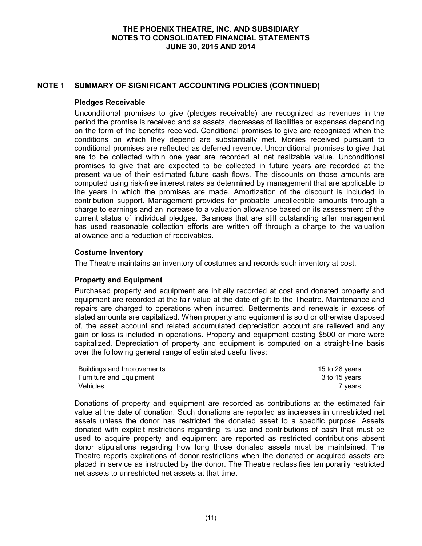### **NOTE 1 SUMMARY OF SIGNIFICANT ACCOUNTING POLICIES (CONTINUED)**

#### **Pledges Receivable**

Unconditional promises to give (pledges receivable) are recognized as revenues in the period the promise is received and as assets, decreases of liabilities or expenses depending on the form of the benefits received. Conditional promises to give are recognized when the conditions on which they depend are substantially met. Monies received pursuant to conditional promises are reflected as deferred revenue. Unconditional promises to give that are to be collected within one year are recorded at net realizable value. Unconditional promises to give that are expected to be collected in future years are recorded at the present value of their estimated future cash flows. The discounts on those amounts are computed using risk-free interest rates as determined by management that are applicable to the years in which the promises are made. Amortization of the discount is included in contribution support. Management provides for probable uncollectible amounts through a charge to earnings and an increase to a valuation allowance based on its assessment of the current status of individual pledges. Balances that are still outstanding after management has used reasonable collection efforts are written off through a charge to the valuation allowance and a reduction of receivables.

#### **Costume Inventory**

The Theatre maintains an inventory of costumes and records such inventory at cost.

#### **Property and Equipment**

Purchased property and equipment are initially recorded at cost and donated property and equipment are recorded at the fair value at the date of gift to the Theatre. Maintenance and repairs are charged to operations when incurred. Betterments and renewals in excess of stated amounts are capitalized. When property and equipment is sold or otherwise disposed of, the asset account and related accumulated depreciation account are relieved and any gain or loss is included in operations. Property and equipment costing \$500 or more were capitalized. Depreciation of property and equipment is computed on a straight-line basis over the following general range of estimated useful lives:

| Buildings and Improvements | 15 to 28 years |
|----------------------------|----------------|
| Furniture and Equipment    | 3 to 15 years  |
| <b>Vehicles</b>            | vears          |

Donations of property and equipment are recorded as contributions at the estimated fair value at the date of donation. Such donations are reported as increases in unrestricted net assets unless the donor has restricted the donated asset to a specific purpose. Assets donated with explicit restrictions regarding its use and contributions of cash that must be used to acquire property and equipment are reported as restricted contributions absent donor stipulations regarding how long those donated assets must be maintained. The Theatre reports expirations of donor restrictions when the donated or acquired assets are placed in service as instructed by the donor. The Theatre reclassifies temporarily restricted net assets to unrestricted net assets at that time.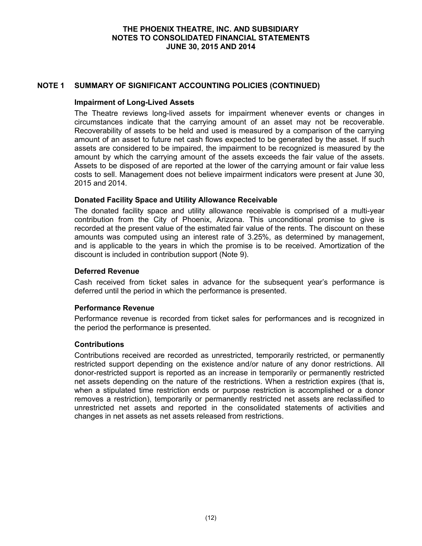### **NOTE 1 SUMMARY OF SIGNIFICANT ACCOUNTING POLICIES (CONTINUED)**

#### **Impairment of Long-Lived Assets**

The Theatre reviews long-lived assets for impairment whenever events or changes in circumstances indicate that the carrying amount of an asset may not be recoverable. Recoverability of assets to be held and used is measured by a comparison of the carrying amount of an asset to future net cash flows expected to be generated by the asset. If such assets are considered to be impaired, the impairment to be recognized is measured by the amount by which the carrying amount of the assets exceeds the fair value of the assets. Assets to be disposed of are reported at the lower of the carrying amount or fair value less costs to sell. Management does not believe impairment indicators were present at June 30, 2015 and 2014.

### **Donated Facility Space and Utility Allowance Receivable**

The donated facility space and utility allowance receivable is comprised of a multi-year contribution from the City of Phoenix, Arizona. This unconditional promise to give is recorded at the present value of the estimated fair value of the rents. The discount on these amounts was computed using an interest rate of 3.25%, as determined by management, and is applicable to the years in which the promise is to be received. Amortization of the discount is included in contribution support (Note 9).

### **Deferred Revenue**

Cash received from ticket sales in advance for the subsequent year's performance is deferred until the period in which the performance is presented.

#### **Performance Revenue**

Performance revenue is recorded from ticket sales for performances and is recognized in the period the performance is presented.

#### **Contributions**

Contributions received are recorded as unrestricted, temporarily restricted, or permanently restricted support depending on the existence and/or nature of any donor restrictions. All donor-restricted support is reported as an increase in temporarily or permanently restricted net assets depending on the nature of the restrictions. When a restriction expires (that is, when a stipulated time restriction ends or purpose restriction is accomplished or a donor removes a restriction), temporarily or permanently restricted net assets are reclassified to unrestricted net assets and reported in the consolidated statements of activities and changes in net assets as net assets released from restrictions.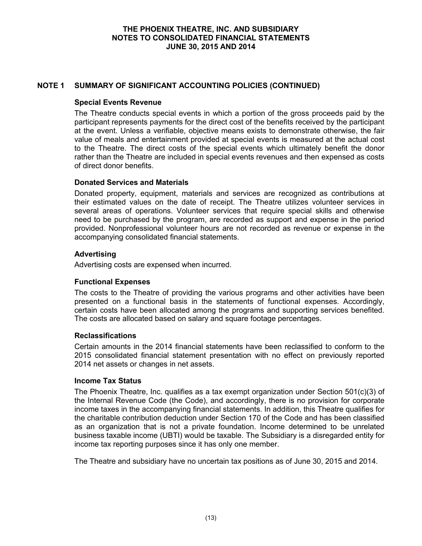### **NOTE 1 SUMMARY OF SIGNIFICANT ACCOUNTING POLICIES (CONTINUED)**

### **Special Events Revenue**

The Theatre conducts special events in which a portion of the gross proceeds paid by the participant represents payments for the direct cost of the benefits received by the participant at the event. Unless a verifiable, objective means exists to demonstrate otherwise, the fair value of meals and entertainment provided at special events is measured at the actual cost to the Theatre. The direct costs of the special events which ultimately benefit the donor rather than the Theatre are included in special events revenues and then expensed as costs of direct donor benefits.

### **Donated Services and Materials**

Donated property, equipment, materials and services are recognized as contributions at their estimated values on the date of receipt. The Theatre utilizes volunteer services in several areas of operations. Volunteer services that require special skills and otherwise need to be purchased by the program, are recorded as support and expense in the period provided. Nonprofessional volunteer hours are not recorded as revenue or expense in the accompanying consolidated financial statements.

### **Advertising**

Advertising costs are expensed when incurred.

### **Functional Expenses**

The costs to the Theatre of providing the various programs and other activities have been presented on a functional basis in the statements of functional expenses. Accordingly, certain costs have been allocated among the programs and supporting services benefited. The costs are allocated based on salary and square footage percentages.

#### **Reclassifications**

Certain amounts in the 2014 financial statements have been reclassified to conform to the 2015 consolidated financial statement presentation with no effect on previously reported 2014 net assets or changes in net assets.

#### **Income Tax Status**

The Phoenix Theatre, Inc. qualifies as a tax exempt organization under Section 501(c)(3) of the Internal Revenue Code (the Code), and accordingly, there is no provision for corporate income taxes in the accompanying financial statements. In addition, this Theatre qualifies for the charitable contribution deduction under Section 170 of the Code and has been classified as an organization that is not a private foundation. Income determined to be unrelated business taxable income (UBTI) would be taxable. The Subsidiary is a disregarded entity for income tax reporting purposes since it has only one member.

The Theatre and subsidiary have no uncertain tax positions as of June 30, 2015 and 2014.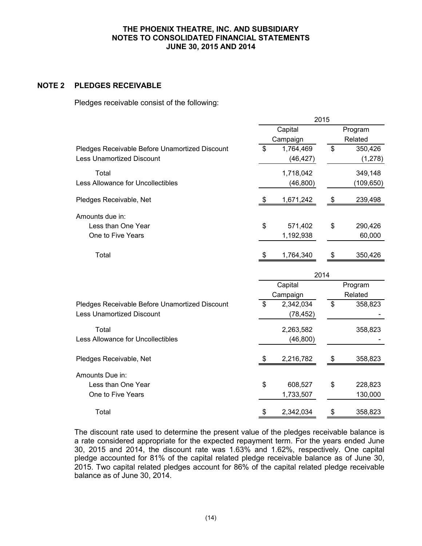### **NOTE 2 PLEDGES RECEIVABLE**

Pledges receivable consist of the following:

|                                                | 2015 |           |         |            |  |
|------------------------------------------------|------|-----------|---------|------------|--|
|                                                |      | Capital   |         | Program    |  |
|                                                |      | Campaign  |         | Related    |  |
| Pledges Receivable Before Unamortized Discount | \$   | 1,764,469 | \$      | 350,426    |  |
| <b>Less Unamortized Discount</b>               |      | (46, 427) |         | (1, 278)   |  |
| Total                                          |      | 1,718,042 |         | 349,148    |  |
| Less Allowance for Uncollectibles              |      | (46, 800) |         | (109, 650) |  |
| Pledges Receivable, Net                        | \$   | 1,671,242 | \$      | 239,498    |  |
| Amounts due in:                                |      |           |         |            |  |
| Less than One Year                             | \$   | 571,402   | \$      | 290,426    |  |
| One to Five Years                              |      | 1,192,938 |         | 60,000     |  |
| Total                                          | \$   | 1,764,340 | \$      | 350,426    |  |
|                                                |      |           | 2014    |            |  |
|                                                |      | Capital   | Program |            |  |
|                                                |      | Campaign  |         | Related    |  |
| Pledges Receivable Before Unamortized Discount | \$   | 2,342,034 | \$      | 358,823    |  |
| <b>Less Unamortized Discount</b>               |      | (78, 452) |         |            |  |
| Total                                          |      | 2,263,582 |         | 358,823    |  |
| Less Allowance for Uncollectibles              |      | (46, 800) |         |            |  |
|                                                |      |           |         |            |  |
| Pledges Receivable, Net                        | \$   | 2,216,782 | \$      | 358,823    |  |
| Amounts Due in:                                |      |           |         |            |  |
| Less than One Year                             | \$   | 608,527   | \$      | 228,823    |  |
| One to Five Years                              |      | 1,733,507 |         | 130,000    |  |
| Total                                          | \$   | 2,342,034 | \$      | 358,823    |  |

The discount rate used to determine the present value of the pledges receivable balance is a rate considered appropriate for the expected repayment term. For the years ended June 30, 2015 and 2014, the discount rate was 1.63% and 1.62%, respectively. One capital pledge accounted for 81% of the capital related pledge receivable balance as of June 30, 2015. Two capital related pledges account for 86% of the capital related pledge receivable balance as of June 30, 2014.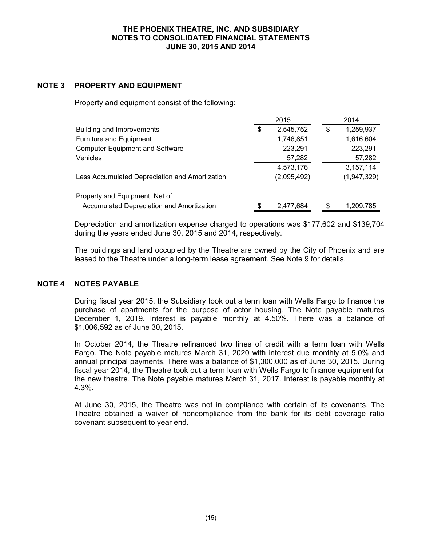### **NOTE 3 PROPERTY AND EQUIPMENT**

Property and equipment consist of the following:

|                                                |    | 2015        | 2014 |             |  |
|------------------------------------------------|----|-------------|------|-------------|--|
| Building and Improvements                      | \$ | 2,545,752   | \$   | 1,259,937   |  |
| Furniture and Equipment                        |    | 1,746,851   |      | 1,616,604   |  |
| <b>Computer Equipment and Software</b>         |    | 223,291     |      | 223,291     |  |
| <b>Vehicles</b>                                |    | 57,282      |      | 57,282      |  |
|                                                |    | 4,573,176   |      | 3,157,114   |  |
| Less Accumulated Depreciation and Amortization |    | (2,095,492) |      | (1,947,329) |  |
| Property and Equipment, Net of                 |    |             |      |             |  |
| Accumulated Depreciation and Amortization      | \$ | 2,477,684   | \$   | 1,209,785   |  |

Depreciation and amortization expense charged to operations was \$177,602 and \$139,704 during the years ended June 30, 2015 and 2014, respectively.

The buildings and land occupied by the Theatre are owned by the City of Phoenix and are leased to the Theatre under a long-term lease agreement. See Note 9 for details.

### **NOTE 4 NOTES PAYABLE**

During fiscal year 2015, the Subsidiary took out a term loan with Wells Fargo to finance the purchase of apartments for the purpose of actor housing. The Note payable matures December 1, 2019. Interest is payable monthly at 4.50%. There was a balance of \$1,006,592 as of June 30, 2015.

In October 2014, the Theatre refinanced two lines of credit with a term loan with Wells Fargo. The Note payable matures March 31, 2020 with interest due monthly at 5.0% and annual principal payments. There was a balance of \$1,300,000 as of June 30, 2015. During fiscal year 2014, the Theatre took out a term loan with Wells Fargo to finance equipment for the new theatre. The Note payable matures March 31, 2017. Interest is payable monthly at 4.3%.

At June 30, 2015, the Theatre was not in compliance with certain of its covenants. The Theatre obtained a waiver of noncompliance from the bank for its debt coverage ratio covenant subsequent to year end.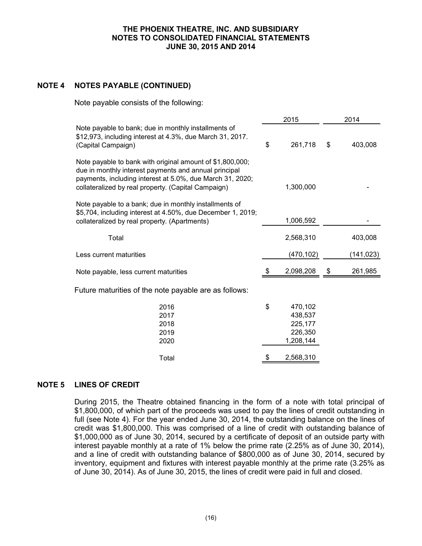## **NOTE 4 NOTES PAYABLE (CONTINUED)**

Note payable consists of the following:

|                                                                                                                                                                                                                                        | 2015                                                        | 2014 |           |  |
|----------------------------------------------------------------------------------------------------------------------------------------------------------------------------------------------------------------------------------------|-------------------------------------------------------------|------|-----------|--|
| Note payable to bank; due in monthly installments of<br>\$12,973, including interest at 4.3%, due March 31, 2017.<br>(Capital Campaign)                                                                                                | \$<br>261,718                                               | \$   | 403,008   |  |
| Note payable to bank with original amount of \$1,800,000;<br>due in monthly interest payments and annual principal<br>payments, including interest at 5.0%, due March 31, 2020;<br>collateralized by real property. (Capital Campaign) | 1,300,000                                                   |      |           |  |
| Note payable to a bank; due in monthly installments of<br>\$5,704, including interest at 4.50%, due December 1, 2019;<br>collateralized by real property. (Apartments)                                                                 | 1,006,592                                                   |      |           |  |
| Total                                                                                                                                                                                                                                  | 2,568,310                                                   |      | 403,008   |  |
| Less current maturities                                                                                                                                                                                                                | (470, 102)                                                  |      | (141,023) |  |
| Note payable, less current maturities                                                                                                                                                                                                  | \$<br>2,098,208                                             | \$   | 261,985   |  |
| Future maturities of the note payable are as follows:                                                                                                                                                                                  |                                                             |      |           |  |
| 2016<br>2017<br>2018<br>2019<br>2020                                                                                                                                                                                                   | \$<br>470,102<br>438,537<br>225,177<br>226,350<br>1,208,144 |      |           |  |
| Total                                                                                                                                                                                                                                  | \$<br>2,568,310                                             |      |           |  |

### **NOTE 5 LINES OF CREDIT**

During 2015, the Theatre obtained financing in the form of a note with total principal of \$1,800,000, of which part of the proceeds was used to pay the lines of credit outstanding in full (see Note 4). For the year ended June 30, 2014, the outstanding balance on the lines of credit was \$1,800,000. This was comprised of a line of credit with outstanding balance of \$1,000,000 as of June 30, 2014, secured by a certificate of deposit of an outside party with interest payable monthly at a rate of 1% below the prime rate (2.25% as of June 30, 2014), and a line of credit with outstanding balance of \$800,000 as of June 30, 2014, secured by inventory, equipment and fixtures with interest payable monthly at the prime rate (3.25% as of June 30, 2014). As of June 30, 2015, the lines of credit were paid in full and closed.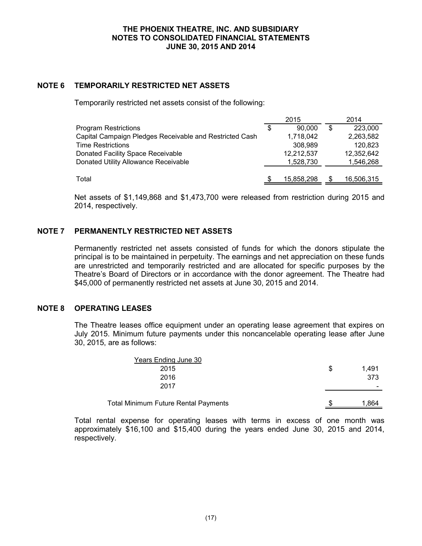## **NOTE 6 TEMPORARILY RESTRICTED NET ASSETS**

Temporarily restricted net assets consist of the following:

|                                                         |   | 2015       |    | 2014       |
|---------------------------------------------------------|---|------------|----|------------|
| <b>Program Restrictions</b>                             | S | 90,000     | \$ | 223,000    |
| Capital Campaign Pledges Receivable and Restricted Cash |   | 1,718,042  |    | 2,263,582  |
| Time Restrictions                                       |   | 308,989    |    | 120,823    |
| Donated Facility Space Receivable                       |   | 12,212,537 |    | 12.352.642 |
| Donated Utility Allowance Receivable                    |   | 1.528.730  |    | 1,546,268  |
|                                                         |   |            |    |            |
| Total                                                   |   | 15,858,298 | S  | 16,506,315 |

Net assets of \$1,149,868 and \$1,473,700 were released from restriction during 2015 and 2014, respectively.

### **NOTE 7 PERMANENTLY RESTRICTED NET ASSETS**

Permanently restricted net assets consisted of funds for which the donors stipulate the principal is to be maintained in perpetuity. The earnings and net appreciation on these funds are unrestricted and temporarily restricted and are allocated for specific purposes by the Theatre's Board of Directors or in accordance with the donor agreement. The Theatre had \$45,000 of permanently restricted net assets at June 30, 2015 and 2014.

#### **NOTE 8 OPERATING LEASES**

The Theatre leases office equipment under an operating lease agreement that expires on July 2015. Minimum future payments under this noncancelable operating lease after June 30, 2015, are as follows:

| <b>Total Minimum Future Rental Payments</b> | 1,864       |
|---------------------------------------------|-------------|
| 2017                                        | -           |
| 2016                                        | 373         |
| 2015                                        | \$<br>1.491 |
| Years Ending June 30                        |             |

Total rental expense for operating leases with terms in excess of one month was approximately \$16,100 and \$15,400 during the years ended June 30, 2015 and 2014, respectively.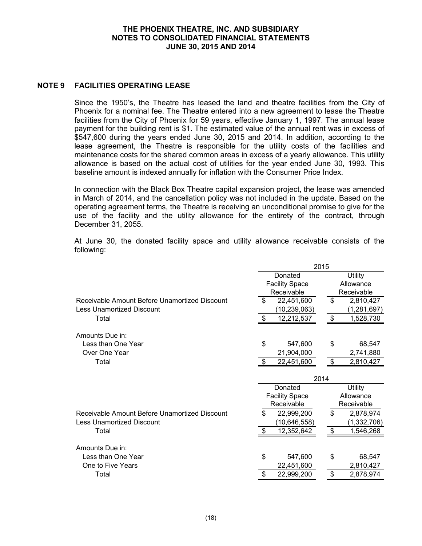### **NOTE 9 FACILITIES OPERATING LEASE**

Since the 1950's, the Theatre has leased the land and theatre facilities from the City of Phoenix for a nominal fee. The Theatre entered into a new agreement to lease the Theatre facilities from the City of Phoenix for 59 years, effective January 1, 1997. The annual lease payment for the building rent is \$1. The estimated value of the annual rent was in excess of \$547,600 during the years ended June 30, 2015 and 2014. In addition, according to the lease agreement, the Theatre is responsible for the utility costs of the facilities and maintenance costs for the shared common areas in excess of a yearly allowance. This utility allowance is based on the actual cost of utilities for the year ended June 30, 1993. This baseline amount is indexed annually for inflation with the Consumer Price Index.

In connection with the Black Box Theatre capital expansion project, the lease was amended in March of 2014, and the cancellation policy was not included in the update. Based on the operating agreement terms, the Theatre is receiving an unconditional promise to give for the use of the facility and the utility allowance for the entirety of the contract, through December 31, 2055.

At June 30, the donated facility space and utility allowance receivable consists of the following:

|                                               | 2015                     |                 |  |
|-----------------------------------------------|--------------------------|-----------------|--|
|                                               | Donated                  | <b>Utility</b>  |  |
|                                               | <b>Facility Space</b>    | Allowance       |  |
|                                               | Receivable               | Receivable      |  |
| Receivable Amount Before Unamortized Discount | \$<br>22,451,600         | \$<br>2,810,427 |  |
| <b>Less Unamortized Discount</b>              | (10, 239, 063)           | (1, 281, 697)   |  |
| Total                                         | 12,212,537<br>S          | \$<br>1,528,730 |  |
| Amounts Due in:                               |                          |                 |  |
| Less than One Year                            | \$<br>547,600            | \$<br>68,547    |  |
| Over One Year                                 | 21,904,000               | 2,741,880       |  |
| Total                                         | 22,451,600<br>-\$        | \$<br>2,810,427 |  |
|                                               |                          | 2014            |  |
|                                               | Donated                  | <b>Utility</b>  |  |
|                                               | <b>Facility Space</b>    | Allowance       |  |
|                                               | Receivable<br>Receivable |                 |  |
| Receivable Amount Before Unamortized Discount | \$<br>22,999,200         | \$<br>2,878,974 |  |
| <b>Less Unamortized Discount</b>              | (10, 646, 558)           | (1, 332, 706)   |  |
| Total                                         | 12,352,642<br>\$         | \$<br>1,546,268 |  |
| Amounts Due in:                               |                          |                 |  |
| Less than One Year                            | \$<br>547,600            | \$<br>68,547    |  |
| One to Five Years                             | 22,451,600               | 2,810,427       |  |
| Total                                         | 22,999,200               | \$<br>2,878,974 |  |
|                                               |                          |                 |  |